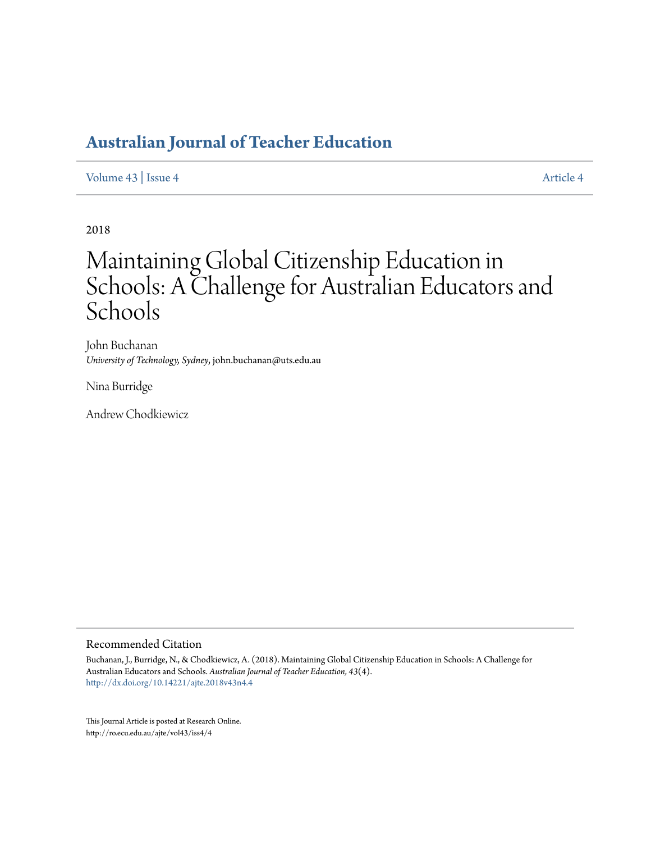# **[Australian Journal of Teacher Education](http://ro.ecu.edu.au/ajte)**

[Volume 43](http://ro.ecu.edu.au/ajte/vol43) | [Issue 4](http://ro.ecu.edu.au/ajte/vol43/iss4) [Article 4](http://ro.ecu.edu.au/ajte/vol43/iss4/4)

2018

# Maintaining Global Citizenship Education in Schools: A Challenge for Australian Educators and Schools

John Buchanan *University of Technology, Sydney*, john.buchanan@uts.edu.au

Nina Burridge

Andrew Chodkiewicz

#### Recommended Citation

Buchanan, J., Burridge, N., & Chodkiewicz, A. (2018). Maintaining Global Citizenship Education in Schools: A Challenge for Australian Educators and Schools. *Australian Journal of Teacher Education, 43*(4). <http://dx.doi.org/10.14221/ajte.2018v43n4.4>

This Journal Article is posted at Research Online. http://ro.ecu.edu.au/ajte/vol43/iss4/4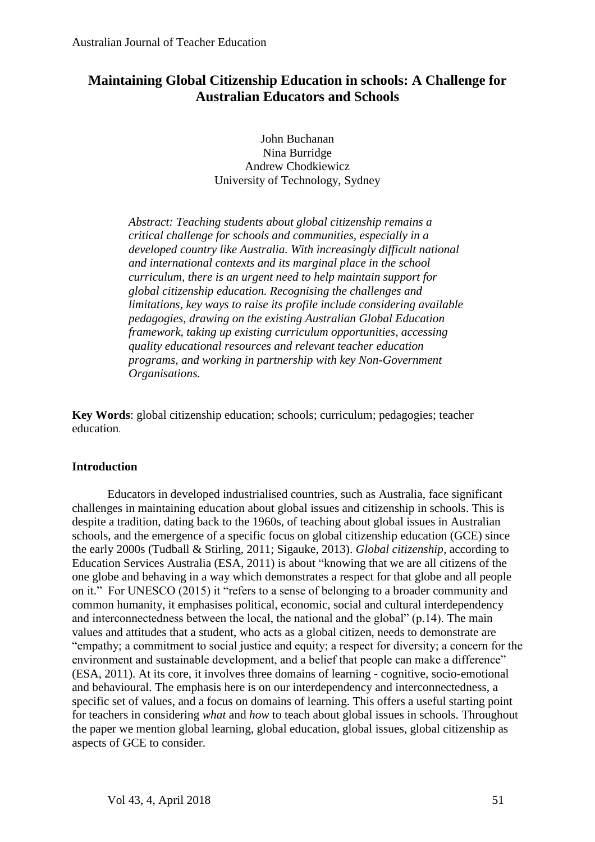# **Maintaining Global Citizenship Education in schools: A Challenge for Australian Educators and Schools**

John Buchanan Nina Burridge Andrew Chodkiewicz University of Technology, Sydney

*Abstract: Teaching students about global citizenship remains a critical challenge for schools and communities, especially in a developed country like Australia. With increasingly difficult national and international contexts and its marginal place in the school curriculum, there is an urgent need to help maintain support for global citizenship education. Recognising the challenges and limitations, key ways to raise its profile include considering available pedagogies, drawing on the existing Australian Global Education framework, taking up existing curriculum opportunities, accessing quality educational resources and relevant teacher education programs, and working in partnership with key Non-Government Organisations.* 

**Key Words**: global citizenship education; schools; curriculum; pedagogies; teacher education.

# **Introduction**

Educators in developed industrialised countries, such as Australia, face significant challenges in maintaining education about global issues and citizenship in schools. This is despite a tradition, dating back to the 1960s, of teaching about global issues in Australian schools, and the emergence of a specific focus on global citizenship education (GCE) since the early 2000s (Tudball & Stirling, 2011; Sigauke, 2013). *Global citizenship*, according to Education Services Australia (ESA, 2011) is about "knowing that we are all citizens of the one globe and behaving in a way which demonstrates a respect for that globe and all people on it." For UNESCO (2015) it "refers to a sense of belonging to a broader community and common humanity, it emphasises political, economic, social and cultural interdependency and interconnectedness between the local, the national and the global" (p.14). The main values and attitudes that a student, who acts as a global citizen, needs to demonstrate are "empathy; a commitment to social justice and equity; a respect for diversity; a concern for the environment and sustainable development, and a belief that people can make a difference" (ESA, 2011). At its core, it involves three domains of learning - cognitive, socio-emotional and behavioural. The emphasis here is on our interdependency and interconnectedness, a specific set of values, and a focus on domains of learning. This offers a useful starting point for teachers in considering *what* and *how* to teach about global issues in schools. Throughout the paper we mention global learning, global education, global issues, global citizenship as aspects of GCE to consider.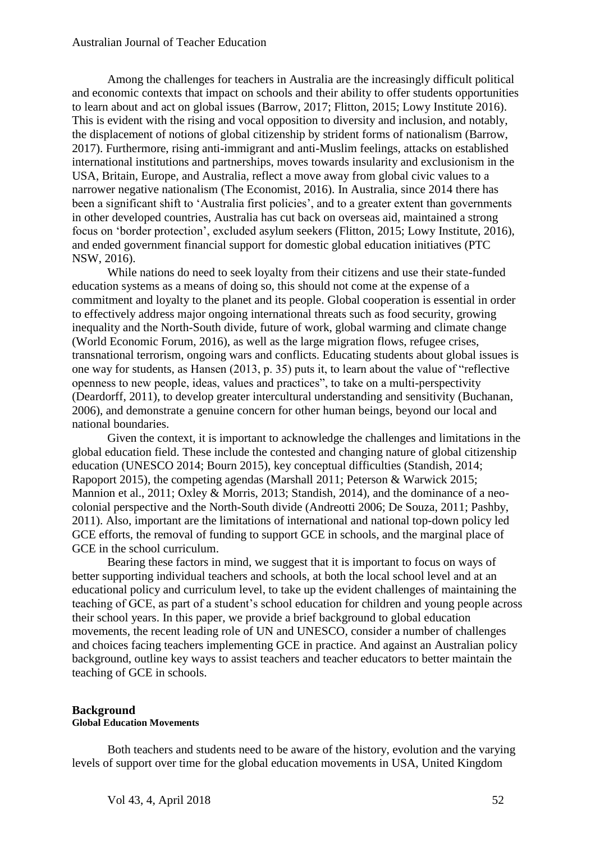Among the challenges for teachers in Australia are the increasingly difficult political and economic contexts that impact on schools and their ability to offer students opportunities to learn about and act on global issues (Barrow, 2017; Flitton, 2015; Lowy Institute 2016). This is evident with the rising and vocal opposition to diversity and inclusion, and notably, the displacement of notions of global citizenship by strident forms of nationalism (Barrow, 2017). Furthermore, rising anti-immigrant and anti-Muslim feelings, attacks on established international institutions and partnerships, moves towards insularity and exclusionism in the USA, Britain, Europe, and Australia, reflect a move away from global civic values to a narrower negative nationalism (The Economist, 2016). In Australia, since 2014 there has been a significant shift to 'Australia first policies', and to a greater extent than governments in other developed countries, Australia has cut back on overseas aid, maintained a strong focus on 'border protection', excluded asylum seekers (Flitton, 2015; Lowy Institute, 2016), and ended government financial support for domestic global education initiatives (PTC NSW, 2016).

While nations do need to seek loyalty from their citizens and use their state-funded education systems as a means of doing so, this should not come at the expense of a commitment and loyalty to the planet and its people. Global cooperation is essential in order to effectively address major ongoing international threats such as food security, growing inequality and the North-South divide, future of work, global warming and climate change (World Economic Forum, 2016), as well as the large migration flows, refugee crises, transnational terrorism, ongoing wars and conflicts. Educating students about global issues is one way for students, as Hansen (2013, p. 35) puts it, to learn about the value of "reflective openness to new people, ideas, values and practices", to take on a multi-perspectivity (Deardorff, 2011), to develop greater intercultural understanding and sensitivity (Buchanan, 2006), and demonstrate a genuine concern for other human beings, beyond our local and national boundaries.

Given the context, it is important to acknowledge the challenges and limitations in the global education field. These include the contested and changing nature of global citizenship education (UNESCO 2014; Bourn 2015), key conceptual difficulties (Standish, 2014; Rapoport 2015), the competing agendas (Marshall 2011; Peterson & Warwick 2015; Mannion et al., 2011; Oxley & Morris, 2013; Standish, 2014), and the dominance of a neocolonial perspective and the North-South divide (Andreotti 2006; De Souza, 2011; Pashby, 2011). Also, important are the limitations of international and national top-down policy led GCE efforts, the removal of funding to support GCE in schools, and the marginal place of GCE in the school curriculum.

Bearing these factors in mind, we suggest that it is important to focus on ways of better supporting individual teachers and schools, at both the local school level and at an educational policy and curriculum level, to take up the evident challenges of maintaining the teaching of GCE, as part of a student's school education for children and young people across their school years. In this paper, we provide a brief background to global education movements, the recent leading role of UN and UNESCO, consider a number of challenges and choices facing teachers implementing GCE in practice. And against an Australian policy background, outline key ways to assist teachers and teacher educators to better maintain the teaching of GCE in schools.

#### **Background Global Education Movements**

Both teachers and students need to be aware of the history, evolution and the varying levels of support over time for the global education movements in USA, United Kingdom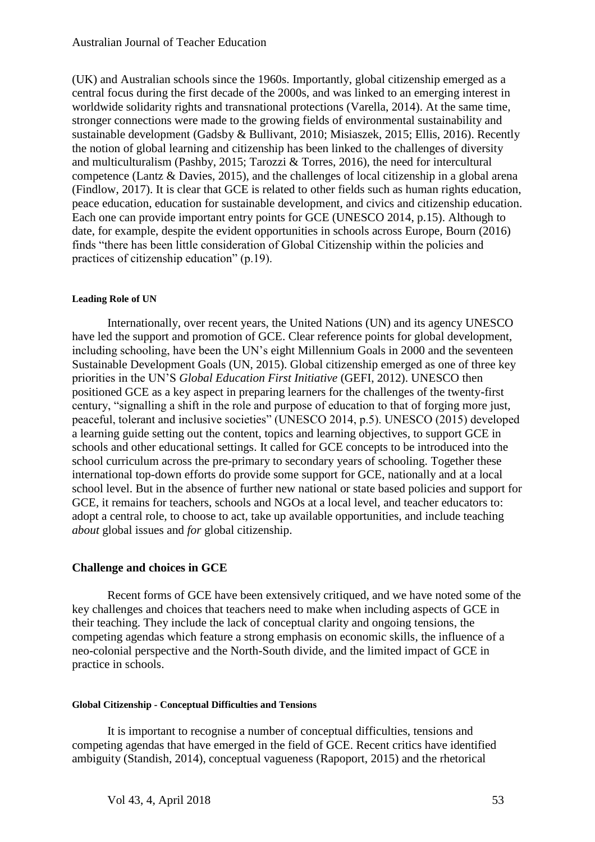(UK) and Australian schools since the 1960s. Importantly, global citizenship emerged as a central focus during the first decade of the 2000s, and was linked to an emerging interest in worldwide solidarity rights and transnational protections (Varella, 2014). At the same time, stronger connections were made to the growing fields of environmental sustainability and sustainable development (Gadsby & Bullivant, 2010; Misiaszek, 2015; Ellis, 2016). Recently the notion of global learning and citizenship has been linked to the challenges of diversity and multiculturalism (Pashby, 2015; Tarozzi & Torres, 2016), the need for intercultural competence (Lantz & Davies, 2015), and the challenges of local citizenship in a global arena (Findlow, 2017). It is clear that GCE is related to other fields such as human rights education, peace education, education for sustainable development, and civics and citizenship education. Each one can provide important entry points for GCE (UNESCO 2014, p.15). Although to date, for example, despite the evident opportunities in schools across Europe, Bourn (2016) finds "there has been little consideration of Global Citizenship within the policies and practices of citizenship education" (p.19).

# **Leading Role of UN**

Internationally, over recent years, the United Nations (UN) and its agency UNESCO have led the support and promotion of GCE. Clear reference points for global development, including schooling, have been the UN's eight Millennium Goals in 2000 and the seventeen Sustainable Development Goals (UN, 2015). Global citizenship emerged as one of three key priorities in the UN'S *Global Education First Initiative* (GEFI, 2012). UNESCO then positioned GCE as a key aspect in preparing learners for the challenges of the twenty-first century, "signalling a shift in the role and purpose of education to that of forging more just, peaceful, tolerant and inclusive societies" (UNESCO 2014, p.5). UNESCO (2015) developed a learning guide setting out the content, topics and learning objectives, to support GCE in schools and other educational settings. It called for GCE concepts to be introduced into the school curriculum across the pre-primary to secondary years of schooling. Together these international top-down efforts do provide some support for GCE, nationally and at a local school level. But in the absence of further new national or state based policies and support for GCE, it remains for teachers, schools and NGOs at a local level, and teacher educators to: adopt a central role, to choose to act, take up available opportunities, and include teaching *about* global issues and *for* global citizenship.

# **Challenge and choices in GCE**

Recent forms of GCE have been extensively critiqued, and we have noted some of the key challenges and choices that teachers need to make when including aspects of GCE in their teaching. They include the lack of conceptual clarity and ongoing tensions, the competing agendas which feature a strong emphasis on economic skills, the influence of a neo-colonial perspective and the North-South divide, and the limited impact of GCE in practice in schools.

# **Global Citizenship - Conceptual Difficulties and Tensions**

It is important to recognise a number of conceptual difficulties, tensions and competing agendas that have emerged in the field of GCE. Recent critics have identified ambiguity (Standish, 2014), conceptual vagueness (Rapoport, 2015) and the rhetorical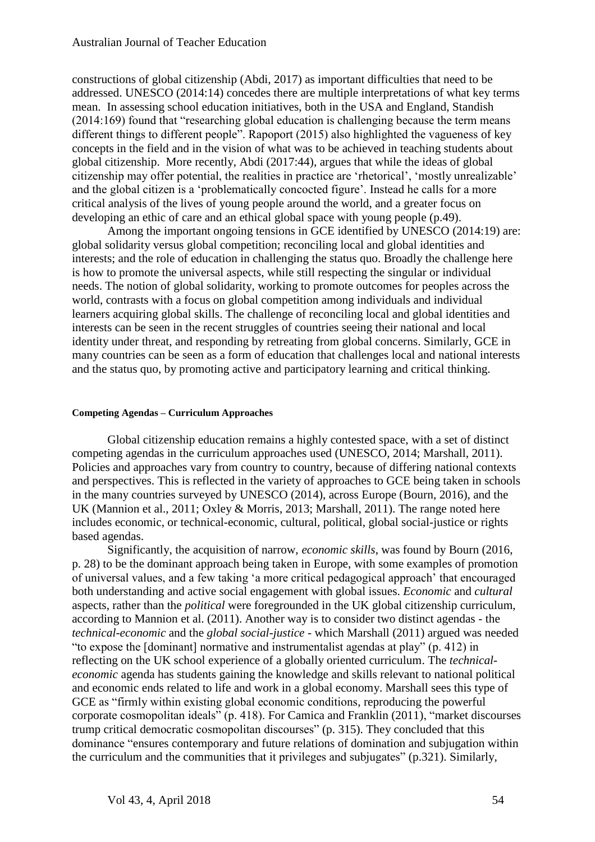constructions of global citizenship (Abdi, 2017) as important difficulties that need to be addressed. UNESCO (2014:14) concedes there are multiple interpretations of what key terms mean. In assessing school education initiatives, both in the USA and England, Standish (2014:169) found that "researching global education is challenging because the term means different things to different people". Rapoport (2015) also highlighted the vagueness of key concepts in the field and in the vision of what was to be achieved in teaching students about global citizenship. More recently, Abdi (2017:44), argues that while the ideas of global citizenship may offer potential, the realities in practice are 'rhetorical', 'mostly unrealizable' and the global citizen is a 'problematically concocted figure'. Instead he calls for a more critical analysis of the lives of young people around the world, and a greater focus on developing an ethic of care and an ethical global space with young people (p.49).

Among the important ongoing tensions in GCE identified by UNESCO (2014:19) are: global solidarity versus global competition; reconciling local and global identities and interests; and the role of education in challenging the status quo. Broadly the challenge here is how to promote the universal aspects, while still respecting the singular or individual needs. The notion of global solidarity, working to promote outcomes for peoples across the world, contrasts with a focus on global competition among individuals and individual learners acquiring global skills. The challenge of reconciling local and global identities and interests can be seen in the recent struggles of countries seeing their national and local identity under threat, and responding by retreating from global concerns. Similarly, GCE in many countries can be seen as a form of education that challenges local and national interests and the status quo, by promoting active and participatory learning and critical thinking.

#### **Competing Agendas – Curriculum Approaches**

Global citizenship education remains a highly contested space, with a set of distinct competing agendas in the curriculum approaches used (UNESCO, 2014; Marshall, 2011). Policies and approaches vary from country to country, because of differing national contexts and perspectives. This is reflected in the variety of approaches to GCE being taken in schools in the many countries surveyed by UNESCO (2014), across Europe (Bourn, 2016), and the UK (Mannion et al., 2011; Oxley & Morris, 2013; Marshall, 2011). The range noted here includes economic, or technical-economic, cultural, political, global social-justice or rights based agendas.

Significantly, the acquisition of narrow, *economic skills*, was found by Bourn (2016, p. 28) to be the dominant approach being taken in Europe, with some examples of promotion of universal values, and a few taking 'a more critical pedagogical approach' that encouraged both understanding and active social engagement with global issues. *Economic* and *cultural* aspects, rather than the *political* were foregrounded in the UK global citizenship curriculum, according to Mannion et al. (2011). Another way is to consider two distinct agendas - the *technical-economic* and the *global social-justice* - which Marshall (2011) argued was needed "to expose the [dominant] normative and instrumentalist agendas at play" (p. 412) in reflecting on the UK school experience of a globally oriented curriculum. The *technicaleconomic* agenda has students gaining the knowledge and skills relevant to national political and economic ends related to life and work in a global economy. Marshall sees this type of GCE as "firmly within existing global economic conditions, reproducing the powerful corporate cosmopolitan ideals" (p. 418). For Camica and Franklin (2011), "market discourses trump critical democratic cosmopolitan discourses" (p. 315). They concluded that this dominance "ensures contemporary and future relations of domination and subjugation within the curriculum and the communities that it privileges and subjugates" (p.321). Similarly,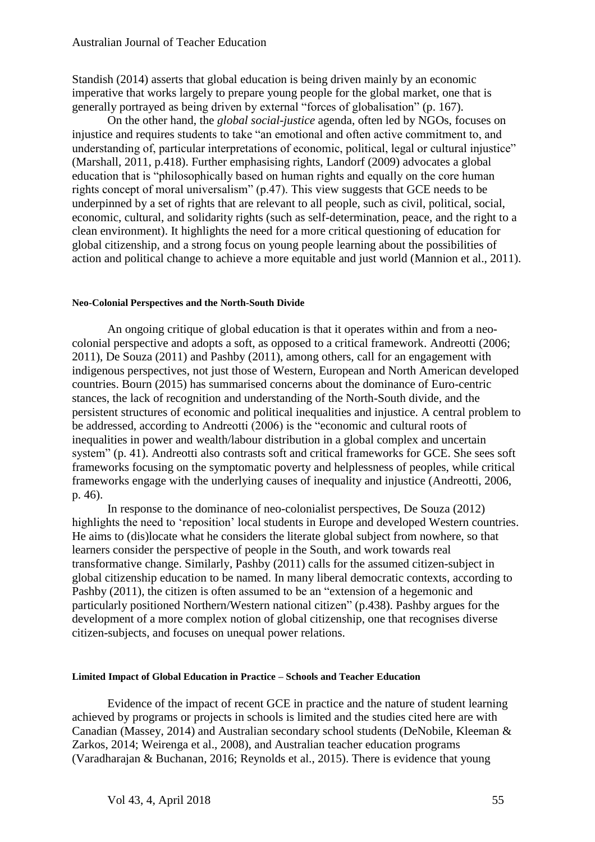Standish (2014) asserts that global education is being driven mainly by an economic imperative that works largely to prepare young people for the global market, one that is generally portrayed as being driven by external "forces of globalisation" (p. 167).

On the other hand, the *global social-justice* agenda, often led by NGOs, focuses on injustice and requires students to take "an emotional and often active commitment to, and understanding of, particular interpretations of economic, political, legal or cultural injustice" (Marshall, 2011, p.418). Further emphasising rights, Landorf (2009) advocates a global education that is "philosophically based on human rights and equally on the core human rights concept of moral universalism" (p.47). This view suggests that GCE needs to be underpinned by a set of rights that are relevant to all people, such as civil, political, social, economic, cultural, and solidarity rights (such as self-determination, peace, and the right to a clean environment). It highlights the need for a more critical questioning of education for global citizenship, and a strong focus on young people learning about the possibilities of action and political change to achieve a more equitable and just world (Mannion et al., 2011).

#### **Neo-Colonial Perspectives and the North-South Divide**

An ongoing critique of global education is that it operates within and from a neocolonial perspective and adopts a soft, as opposed to a critical framework. Andreotti (2006; 2011), De Souza (2011) and Pashby (2011), among others, call for an engagement with indigenous perspectives, not just those of Western, European and North American developed countries. Bourn (2015) has summarised concerns about the dominance of Euro-centric stances, the lack of recognition and understanding of the North-South divide, and the persistent structures of economic and political inequalities and injustice. A central problem to be addressed, according to Andreotti (2006) is the "economic and cultural roots of inequalities in power and wealth/labour distribution in a global complex and uncertain system" (p. 41). Andreotti also contrasts soft and critical frameworks for GCE. She sees soft frameworks focusing on the symptomatic poverty and helplessness of peoples, while critical frameworks engage with the underlying causes of inequality and injustice (Andreotti, 2006, p. 46).

In response to the dominance of neo-colonialist perspectives, De Souza (2012) highlights the need to 'reposition' local students in Europe and developed Western countries. He aims to (dis)locate what he considers the literate global subject from nowhere, so that learners consider the perspective of people in the South, and work towards real transformative change. Similarly, Pashby (2011) calls for the assumed citizen-subject in global citizenship education to be named. In many liberal democratic contexts, according to Pashby (2011), the citizen is often assumed to be an "extension of a hegemonic and particularly positioned Northern/Western national citizen" (p.438). Pashby argues for the development of a more complex notion of global citizenship, one that recognises diverse citizen-subjects, and focuses on unequal power relations.

#### **Limited Impact of Global Education in Practice – Schools and Teacher Education**

Evidence of the impact of recent GCE in practice and the nature of student learning achieved by programs or projects in schools is limited and the studies cited here are with Canadian (Massey, 2014) and Australian secondary school students (DeNobile, Kleeman & Zarkos, 2014; Weirenga et al., 2008), and Australian teacher education programs (Varadharajan & Buchanan, 2016; Reynolds et al., 2015). There is evidence that young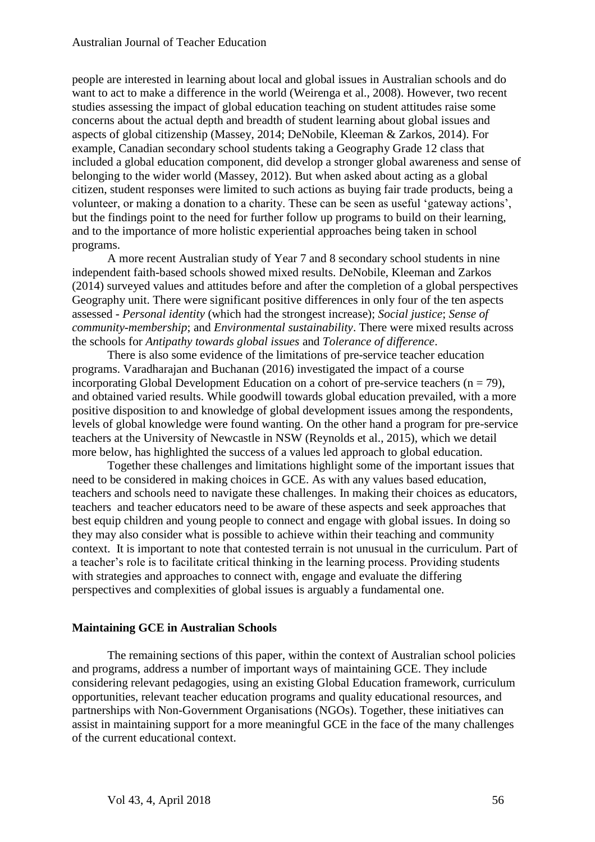people are interested in learning about local and global issues in Australian schools and do want to act to make a difference in the world (Weirenga et al., 2008). However, two recent studies assessing the impact of global education teaching on student attitudes raise some concerns about the actual depth and breadth of student learning about global issues and aspects of global citizenship (Massey, 2014; DeNobile, Kleeman & Zarkos, 2014). For example, Canadian secondary school students taking a Geography Grade 12 class that included a global education component, did develop a stronger global awareness and sense of belonging to the wider world (Massey, 2012). But when asked about acting as a global citizen, student responses were limited to such actions as buying fair trade products, being a volunteer, or making a donation to a charity. These can be seen as useful 'gateway actions', but the findings point to the need for further follow up programs to build on their learning, and to the importance of more holistic experiential approaches being taken in school programs.

A more recent Australian study of Year 7 and 8 secondary school students in nine independent faith-based schools showed mixed results. DeNobile, Kleeman and Zarkos (2014) surveyed values and attitudes before and after the completion of a global perspectives Geography unit. There were significant positive differences in only four of the ten aspects assessed - *Personal identity* (which had the strongest increase); *Social justice*; *Sense of community-membership*; and *Environmental sustainability*. There were mixed results across the schools for *Antipathy towards global issues* and *Tolerance of difference*.

There is also some evidence of the limitations of pre-service teacher education programs. Varadharajan and Buchanan (2016) investigated the impact of a course incorporating Global Development Education on a cohort of pre-service teachers  $(n = 79)$ , and obtained varied results. While goodwill towards global education prevailed, with a more positive disposition to and knowledge of global development issues among the respondents, levels of global knowledge were found wanting. On the other hand a program for pre-service teachers at the University of Newcastle in NSW (Reynolds et al., 2015), which we detail more below, has highlighted the success of a values led approach to global education.

Together these challenges and limitations highlight some of the important issues that need to be considered in making choices in GCE. As with any values based education, teachers and schools need to navigate these challenges. In making their choices as educators, teachers and teacher educators need to be aware of these aspects and seek approaches that best equip children and young people to connect and engage with global issues. In doing so they may also consider what is possible to achieve within their teaching and community context. It is important to note that contested terrain is not unusual in the curriculum. Part of a teacher's role is to facilitate critical thinking in the learning process. Providing students with strategies and approaches to connect with, engage and evaluate the differing perspectives and complexities of global issues is arguably a fundamental one.

# **Maintaining GCE in Australian Schools**

The remaining sections of this paper, within the context of Australian school policies and programs, address a number of important ways of maintaining GCE. They include considering relevant pedagogies, using an existing Global Education framework, curriculum opportunities, relevant teacher education programs and quality educational resources, and partnerships with Non-Government Organisations (NGOs). Together, these initiatives can assist in maintaining support for a more meaningful GCE in the face of the many challenges of the current educational context.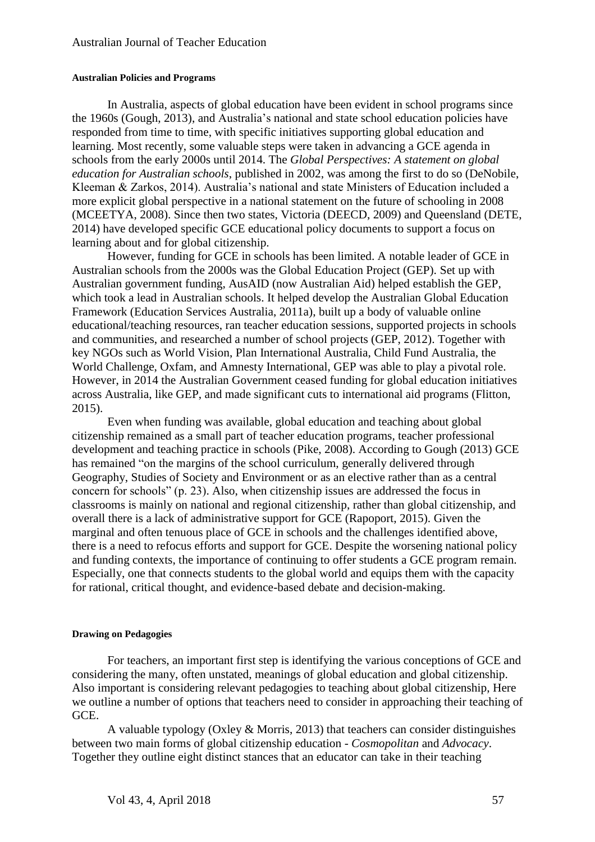#### **Australian Policies and Programs**

In Australia, aspects of global education have been evident in school programs since the 1960s (Gough, 2013), and Australia's national and state school education policies have responded from time to time, with specific initiatives supporting global education and learning. Most recently, some valuable steps were taken in advancing a GCE agenda in schools from the early 2000s until 2014. The *Global Perspectives: A statement on global education for Australian schools*, published in 2002, was among the first to do so (DeNobile, Kleeman & Zarkos, 2014). Australia's national and state Ministers of Education included a more explicit global perspective in a national statement on the future of schooling in 2008 (MCEETYA, 2008). Since then two states, Victoria (DEECD, 2009) and Queensland (DETE, 2014) have developed specific GCE educational policy documents to support a focus on learning about and for global citizenship.

However, funding for GCE in schools has been limited. A notable leader of GCE in Australian schools from the 2000s was the Global Education Project (GEP). Set up with Australian government funding, AusAID (now Australian Aid) helped establish the GEP, which took a lead in Australian schools. It helped develop the Australian Global Education Framework (Education Services Australia, 2011a), built up a body of valuable online educational/teaching resources, ran teacher education sessions, supported projects in schools and communities, and researched a number of school projects (GEP, 2012). Together with key NGOs such as World Vision, Plan International Australia, Child Fund Australia, the World Challenge, Oxfam, and Amnesty International, GEP was able to play a pivotal role. However, in 2014 the Australian Government ceased funding for global education initiatives across Australia, like GEP, and made significant cuts to international aid programs (Flitton, 2015).

Even when funding was available, global education and teaching about global citizenship remained as a small part of teacher education programs, teacher professional development and teaching practice in schools (Pike, 2008). According to Gough (2013) GCE has remained "on the margins of the school curriculum, generally delivered through Geography, Studies of Society and Environment or as an elective rather than as a central concern for schools" (p. 23). Also, when citizenship issues are addressed the focus in classrooms is mainly on national and regional citizenship, rather than global citizenship, and overall there is a lack of administrative support for GCE (Rapoport, 2015). Given the marginal and often tenuous place of GCE in schools and the challenges identified above, there is a need to refocus efforts and support for GCE. Despite the worsening national policy and funding contexts, the importance of continuing to offer students a GCE program remain. Especially, one that connects students to the global world and equips them with the capacity for rational, critical thought, and evidence-based debate and decision-making.

#### **Drawing on Pedagogies**

For teachers, an important first step is identifying the various conceptions of GCE and considering the many, often unstated, meanings of global education and global citizenship. Also important is considering relevant pedagogies to teaching about global citizenship, Here we outline a number of options that teachers need to consider in approaching their teaching of GCE.

A valuable typology (Oxley  $\&$  Morris, 2013) that teachers can consider distinguishes between two main forms of global citizenship education - *Cosmopolitan* and *Advocacy*. Together they outline eight distinct stances that an educator can take in their teaching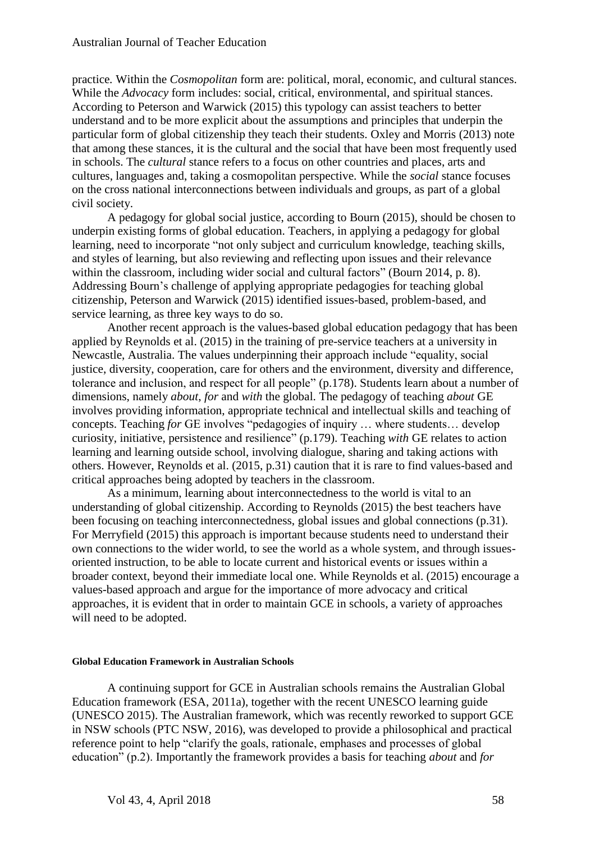practice*.* Within the *Cosmopolitan* form are: political, moral, economic, and cultural stances. While the *Advocacy* form includes: social, critical, environmental, and spiritual stances. According to Peterson and Warwick (2015) this typology can assist teachers to better understand and to be more explicit about the assumptions and principles that underpin the particular form of global citizenship they teach their students. Oxley and Morris (2013) note that among these stances, it is the cultural and the social that have been most frequently used in schools. The *cultural* stance refers to a focus on other countries and places, arts and cultures, languages and, taking a cosmopolitan perspective. While the *social* stance focuses on the cross national interconnections between individuals and groups, as part of a global civil society.

A pedagogy for global social justice, according to Bourn (2015), should be chosen to underpin existing forms of global education. Teachers, in applying a pedagogy for global learning, need to incorporate "not only subject and curriculum knowledge, teaching skills, and styles of learning, but also reviewing and reflecting upon issues and their relevance within the classroom, including wider social and cultural factors" (Bourn 2014, p. 8). Addressing Bourn's challenge of applying appropriate pedagogies for teaching global citizenship, Peterson and Warwick (2015) identified issues-based, problem-based, and service learning, as three key ways to do so.

Another recent approach is the values-based global education pedagogy that has been applied by Reynolds et al. (2015) in the training of pre-service teachers at a university in Newcastle, Australia. The values underpinning their approach include "equality, social justice, diversity, cooperation, care for others and the environment, diversity and difference, tolerance and inclusion, and respect for all people" (p.178). Students learn about a number of dimensions, namely *about*, *for* and *with* the global. The pedagogy of teaching *about* GE involves providing information, appropriate technical and intellectual skills and teaching of concepts. Teaching *for* GE involves "pedagogies of inquiry … where students… develop curiosity, initiative, persistence and resilience" (p.179). Teaching *with* GE relates to action learning and learning outside school, involving dialogue, sharing and taking actions with others. However, Reynolds et al. (2015, p.31) caution that it is rare to find values-based and critical approaches being adopted by teachers in the classroom.

As a minimum, learning about interconnectedness to the world is vital to an understanding of global citizenship. According to Reynolds (2015) the best teachers have been focusing on teaching interconnectedness, global issues and global connections (p.31). For Merryfield (2015) this approach is important because students need to understand their own connections to the wider world, to see the world as a whole system, and through issuesoriented instruction, to be able to locate current and historical events or issues within a broader context, beyond their immediate local one. While Reynolds et al. (2015) encourage a values-based approach and argue for the importance of more advocacy and critical approaches, it is evident that in order to maintain GCE in schools, a variety of approaches will need to be adopted.

#### **Global Education Framework in Australian Schools**

A continuing support for GCE in Australian schools remains the Australian Global Education framework (ESA, 2011a), together with the recent UNESCO learning guide (UNESCO 2015). The Australian framework, which was recently reworked to support GCE in NSW schools (PTC NSW, 2016), was developed to provide a philosophical and practical reference point to help "clarify the goals, rationale, emphases and processes of global education" (p.2). Importantly the framework provides a basis for teaching *about* and *for*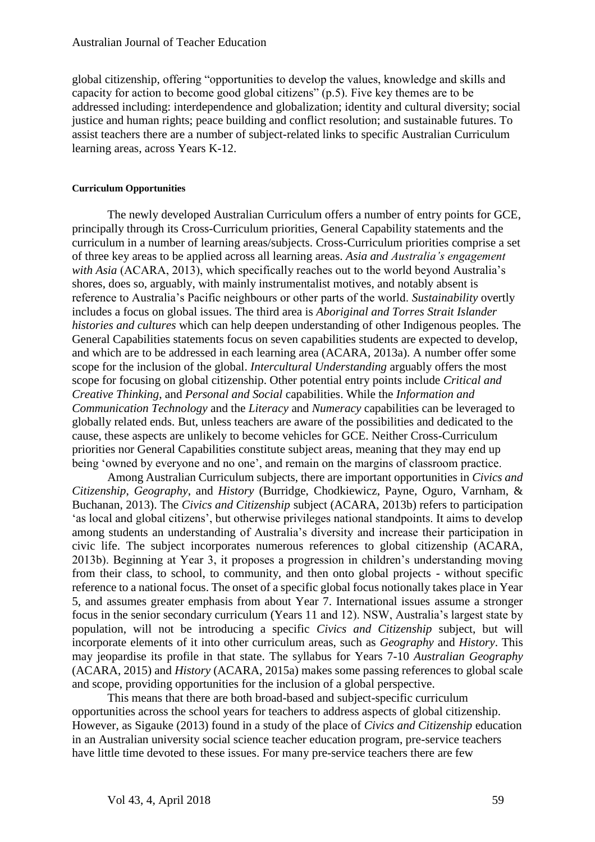global citizenship, offering "opportunities to develop the values, knowledge and skills and capacity for action to become good global citizens" (p.5). Five key themes are to be addressed including: interdependence and globalization; identity and cultural diversity; social justice and human rights; peace building and conflict resolution; and sustainable futures. To assist teachers there are a number of subject-related links to specific Australian Curriculum learning areas, across Years K-12.

#### **Curriculum Opportunities**

The newly developed Australian Curriculum offers a number of entry points for GCE, principally through its Cross-Curriculum priorities, General Capability statements and the curriculum in a number of learning areas/subjects. Cross-Curriculum priorities comprise a set of three key areas to be applied across all learning areas. *Asia and Australia's engagement with Asia* (ACARA, 2013), which specifically reaches out to the world beyond Australia's shores, does so, arguably, with mainly instrumentalist motives, and notably absent is reference to Australia's Pacific neighbours or other parts of the world. *Sustainability* overtly includes a focus on global issues. The third area is *Aboriginal and Torres Strait Islander histories and cultures* which can help deepen understanding of other Indigenous peoples*.* The General Capabilities statements focus on seven capabilities students are expected to develop, and which are to be addressed in each learning area (ACARA, 2013a). A number offer some scope for the inclusion of the global. *Intercultural Understanding* arguably offers the most scope for focusing on global citizenship. Other potential entry points include *Critical and Creative Thinking*, and *Personal and Social* capabilities. While the *Information and Communication Technology* and the *Literacy* and *Numeracy* capabilities can be leveraged to globally related ends. But, unless teachers are aware of the possibilities and dedicated to the cause, these aspects are unlikely to become vehicles for GCE. Neither Cross-Curriculum priorities nor General Capabilities constitute subject areas, meaning that they may end up being 'owned by everyone and no one', and remain on the margins of classroom practice.

Among Australian Curriculum subjects, there are important opportunities in *Civics and Citizenship*, *Geography*, and *History* (Burridge, Chodkiewicz, Payne, Oguro, Varnham, & Buchanan, 2013). The *Civics and Citizenship* subject (ACARA, 2013b) refers to participation 'as local and global citizens', but otherwise privileges national standpoints. It aims to develop among students an understanding of Australia's diversity and increase their participation in civic life. The subject incorporates numerous references to global citizenship (ACARA, 2013b). Beginning at Year 3, it proposes a progression in children's understanding moving from their class, to school, to community, and then onto global projects - without specific reference to a national focus. The onset of a specific global focus notionally takes place in Year 5, and assumes greater emphasis from about Year 7. International issues assume a stronger focus in the senior secondary curriculum (Years 11 and 12). NSW, Australia's largest state by population, will not be introducing a specific *Civics and Citizenship* subject, but will incorporate elements of it into other curriculum areas, such as *Geography* and *History*. This may jeopardise its profile in that state. The syllabus for Years 7-10 *Australian Geography* (ACARA, 2015) and *History* (ACARA, 2015a) makes some passing references to global scale and scope, providing opportunities for the inclusion of a global perspective.

This means that there are both broad-based and subject-specific curriculum opportunities across the school years for teachers to address aspects of global citizenship. However, as Sigauke (2013) found in a study of the place of *Civics and Citizenship* education in an Australian university social science teacher education program, pre-service teachers have little time devoted to these issues. For many pre-service teachers there are few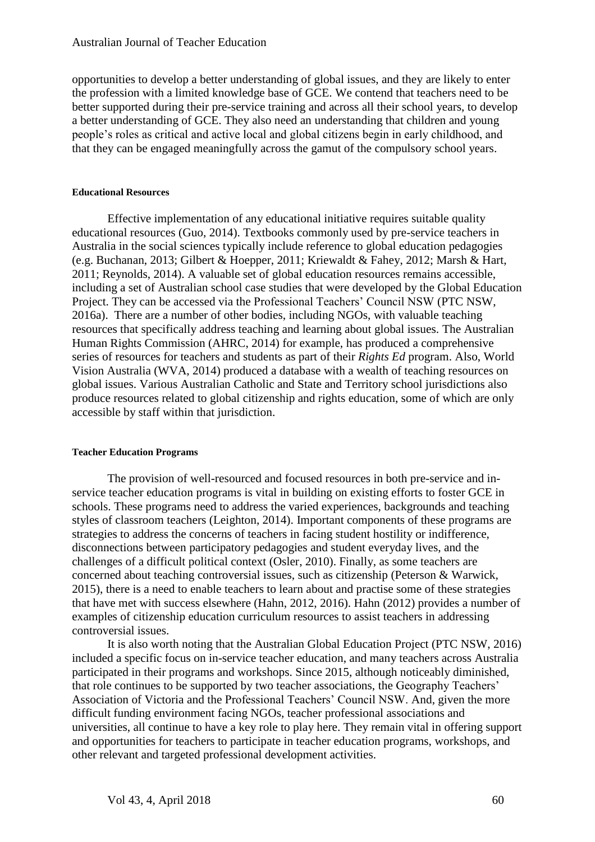opportunities to develop a better understanding of global issues, and they are likely to enter the profession with a limited knowledge base of GCE. We contend that teachers need to be better supported during their pre-service training and across all their school years, to develop a better understanding of GCE. They also need an understanding that children and young people's roles as critical and active local and global citizens begin in early childhood, and that they can be engaged meaningfully across the gamut of the compulsory school years.

#### **Educational Resources**

Effective implementation of any educational initiative requires suitable quality educational resources (Guo, 2014). Textbooks commonly used by pre-service teachers in Australia in the social sciences typically include reference to global education pedagogies (e.g. Buchanan, 2013; Gilbert & Hoepper, 2011; Kriewaldt & Fahey, 2012; Marsh & Hart, 2011; Reynolds, 2014). A valuable set of global education resources remains accessible, including a set of Australian school case studies that were developed by the Global Education Project. They can be accessed via the Professional Teachers' Council NSW (PTC NSW, 2016a). There are a number of other bodies, including NGOs, with valuable teaching resources that specifically address teaching and learning about global issues. The Australian Human Rights Commission (AHRC, 2014) for example, has produced a comprehensive series of resources for teachers and students as part of their *Rights Ed* program. Also, World Vision Australia (WVA, 2014) produced a database with a wealth of teaching resources on global issues. Various Australian Catholic and State and Territory school jurisdictions also produce resources related to global citizenship and rights education, some of which are only accessible by staff within that jurisdiction.

# **Teacher Education Programs**

The provision of well-resourced and focused resources in both pre-service and inservice teacher education programs is vital in building on existing efforts to foster GCE in schools. These programs need to address the varied experiences, backgrounds and teaching styles of classroom teachers (Leighton, 2014). Important components of these programs are strategies to address the concerns of teachers in facing student hostility or indifference, disconnections between participatory pedagogies and student everyday lives, and the challenges of a difficult political context (Osler, 2010). Finally, as some teachers are concerned about teaching controversial issues, such as citizenship (Peterson & Warwick, 2015), there is a need to enable teachers to learn about and practise some of these strategies that have met with success elsewhere (Hahn, 2012, 2016). Hahn (2012) provides a number of examples of citizenship education curriculum resources to assist teachers in addressing controversial issues.

It is also worth noting that the Australian Global Education Project (PTC NSW, 2016) included a specific focus on in-service teacher education, and many teachers across Australia participated in their programs and workshops. Since 2015, although noticeably diminished, that role continues to be supported by two teacher associations, the Geography Teachers' Association of Victoria and the Professional Teachers' Council NSW. And, given the more difficult funding environment facing NGOs, teacher professional associations and universities, all continue to have a key role to play here. They remain vital in offering support and opportunities for teachers to participate in teacher education programs, workshops, and other relevant and targeted professional development activities.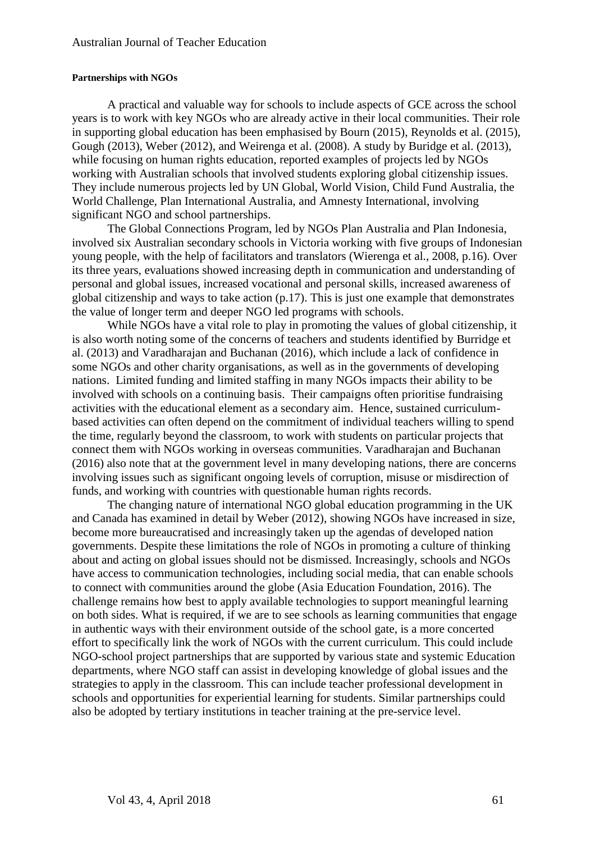#### **Partnerships with NGOs**

A practical and valuable way for schools to include aspects of GCE across the school years is to work with key NGOs who are already active in their local communities. Their role in supporting global education has been emphasised by Bourn (2015), Reynolds et al. (2015), Gough (2013), Weber (2012), and Weirenga et al. (2008). A study by Buridge et al. (2013), while focusing on human rights education, reported examples of projects led by NGOs working with Australian schools that involved students exploring global citizenship issues. They include numerous projects led by UN Global, World Vision, Child Fund Australia, the World Challenge, Plan International Australia, and Amnesty International, involving significant NGO and school partnerships.

The Global Connections Program, led by NGOs Plan Australia and Plan Indonesia, involved six Australian secondary schools in Victoria working with five groups of Indonesian young people, with the help of facilitators and translators (Wierenga et al., 2008, p.16). Over its three years, evaluations showed increasing depth in communication and understanding of personal and global issues, increased vocational and personal skills, increased awareness of global citizenship and ways to take action (p.17). This is just one example that demonstrates the value of longer term and deeper NGO led programs with schools.

While NGOs have a vital role to play in promoting the values of global citizenship, it is also worth noting some of the concerns of teachers and students identified by Burridge et al. (2013) and Varadharajan and Buchanan (2016), which include a lack of confidence in some NGOs and other charity organisations, as well as in the governments of developing nations. Limited funding and limited staffing in many NGOs impacts their ability to be involved with schools on a continuing basis. Their campaigns often prioritise fundraising activities with the educational element as a secondary aim. Hence, sustained curriculumbased activities can often depend on the commitment of individual teachers willing to spend the time, regularly beyond the classroom, to work with students on particular projects that connect them with NGOs working in overseas communities. Varadharajan and Buchanan (2016) also note that at the government level in many developing nations, there are concerns involving issues such as significant ongoing levels of corruption, misuse or misdirection of funds, and working with countries with questionable human rights records.

The changing nature of international NGO global education programming in the UK and Canada has examined in detail by Weber (2012), showing NGOs have increased in size, become more bureaucratised and increasingly taken up the agendas of developed nation governments. Despite these limitations the role of NGOs in promoting a culture of thinking about and acting on global issues should not be dismissed. Increasingly, schools and NGOs have access to communication technologies, including social media, that can enable schools to connect with communities around the globe (Asia Education Foundation, 2016). The challenge remains how best to apply available technologies to support meaningful learning on both sides. What is required, if we are to see schools as learning communities that engage in authentic ways with their environment outside of the school gate, is a more concerted effort to specifically link the work of NGOs with the current curriculum. This could include NGO-school project partnerships that are supported by various state and systemic Education departments, where NGO staff can assist in developing knowledge of global issues and the strategies to apply in the classroom. This can include teacher professional development in schools and opportunities for experiential learning for students. Similar partnerships could also be adopted by tertiary institutions in teacher training at the pre-service level.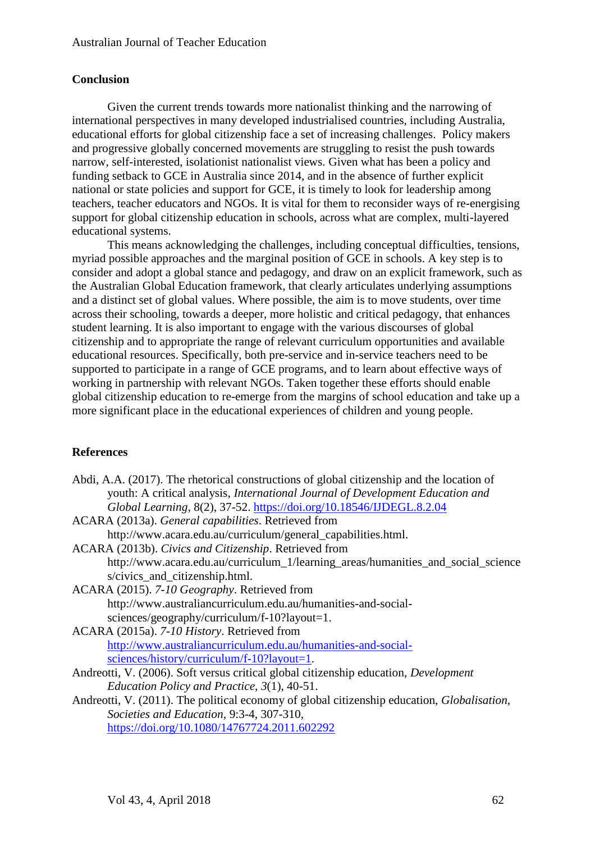# **Conclusion**

Given the current trends towards more nationalist thinking and the narrowing of international perspectives in many developed industrialised countries, including Australia, educational efforts for global citizenship face a set of increasing challenges. Policy makers and progressive globally concerned movements are struggling to resist the push towards narrow, self-interested, isolationist nationalist views. Given what has been a policy and funding setback to GCE in Australia since 2014, and in the absence of further explicit national or state policies and support for GCE, it is timely to look for leadership among teachers, teacher educators and NGOs. It is vital for them to reconsider ways of re-energising support for global citizenship education in schools, across what are complex, multi-layered educational systems.

This means acknowledging the challenges, including conceptual difficulties, tensions, myriad possible approaches and the marginal position of GCE in schools. A key step is to consider and adopt a global stance and pedagogy, and draw on an explicit framework, such as the Australian Global Education framework, that clearly articulates underlying assumptions and a distinct set of global values. Where possible, the aim is to move students, over time across their schooling, towards a deeper, more holistic and critical pedagogy, that enhances student learning. It is also important to engage with the various discourses of global citizenship and to appropriate the range of relevant curriculum opportunities and available educational resources. Specifically, both pre-service and in-service teachers need to be supported to participate in a range of GCE programs, and to learn about effective ways of working in partnership with relevant NGOs. Taken together these efforts should enable global citizenship education to re-emerge from the margins of school education and take up a more significant place in the educational experiences of children and young people.

# **References**

Abdi, A.A. (2017). The rhetorical constructions of global citizenship and the location of youth: A critical analysis, *International Journal of Development Education and Global Learning,* 8(2), 37-52.<https://doi.org/10.18546/IJDEGL.8.2.04>

ACARA (2013a). *General capabilities*. Retrieved from

http://www.acara.edu.au/curriculum/general\_capabilities.html.

- ACARA (2013b). *Civics and Citizenship*. Retrieved from http://www.acara.edu.au/curriculum\_1/learning\_areas/humanities\_and\_social\_science s/civics\_and\_citizenship.html.
- ACARA (2015). *7-10 Geography*. Retrieved from http://www.australiancurriculum.edu.au/humanities-and-socialsciences/geography/curriculum/f-10?layout=1.

ACARA (2015a). *7-10 History*. Retrieved from [http://www.australiancurriculum.edu.au/humanities-and-social](http://www.australiancurriculum.edu.au/humanities-and-social-sciences/history/curriculum/f-10?layout=1)[sciences/history/curriculum/f-10?layout=1.](http://www.australiancurriculum.edu.au/humanities-and-social-sciences/history/curriculum/f-10?layout=1)

- Andreotti, V. (2006). Soft versus critical global citizenship education, *Development Education Policy and Practice, 3*(1), 40-51.
- Andreotti, V. (2011). The political economy of global citizenship education, *Globalisation, Societies and Education,* 9:3-4, 307-310, <https://doi.org/10.1080/14767724.2011.602292>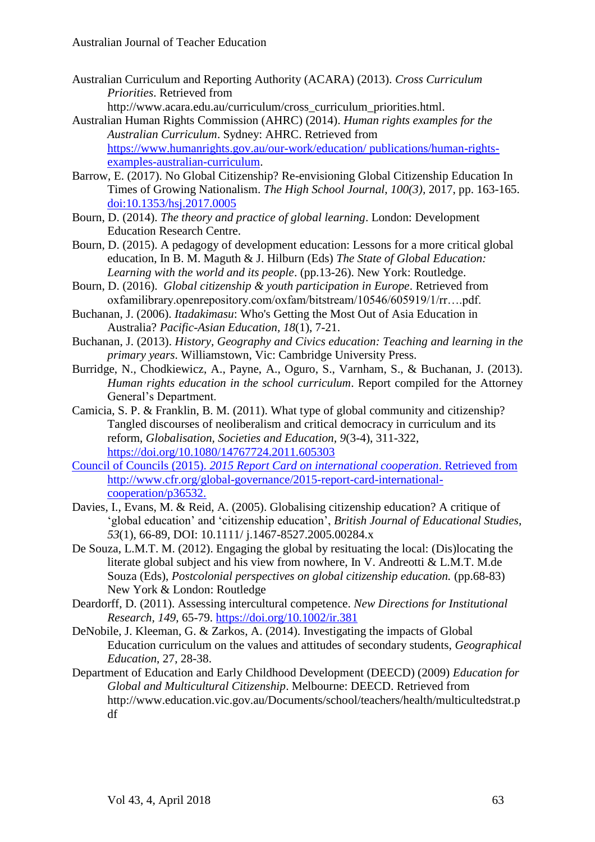Australian Curriculum and Reporting Authority (ACARA) (2013). *Cross Curriculum Priorities*. Retrieved from

http://www.acara.edu.au/curriculum/cross\_curriculum\_priorities.html.

- Australian Human Rights Commission (AHRC) (2014). *Human rights examples for the Australian Curriculum*. Sydney: AHRC. Retrieved from [https://www.humanrights.gov.au/our-work/education/ publications/human-rights](https://www.humanrights.gov.au/our-work/education/%20publications/human-rights-examples-australian-curriculum)[examples-australian-curriculum.](https://www.humanrights.gov.au/our-work/education/%20publications/human-rights-examples-australian-curriculum)
- Barrow, E. (2017). No Global Citizenship? Re-envisioning Global Citizenship Education In Times of Growing Nationalism. *The High School Journal*, *100(3),* 2017, pp. 163-165. [doi:10.1353/hsj.2017.0005](http://doi.org/10.1353/hsj.2017.0005)
- Bourn, D. (2014). *The theory and practice of global learning*. London: Development Education Research Centre.
- Bourn, D. (2015). A pedagogy of development education: Lessons for a more critical global education, In B. M. Maguth & J. Hilburn (Eds) *The State of Global Education: Learning with the world and its people*. (pp.13-26). New York: Routledge.
- Bourn, D. (2016). *Global citizenship & youth participation in Europe*. Retrieved from oxfamilibrary.openrepository.com/oxfam/bitstream/10546/605919/1/rr….pdf.
- Buchanan, J. (2006). *Itadakimasu*: Who's Getting the Most Out of Asia Education in Australia? *Pacific-Asian Education, 18*(1), 7-21.
- Buchanan, J. (2013). *History, Geography and Civics education: Teaching and learning in the primary years*. Williamstown, Vic: Cambridge University Press.
- Burridge, N., Chodkiewicz, A., Payne, A., Oguro, S., Varnham, S., & Buchanan, J. (2013). *Human rights education in the school curriculum*. Report compiled for the Attorney General's Department.
- Camicia, S. P. & Franklin, B. M. (2011). What type of global community and citizenship? Tangled discourses of neoliberalism and critical democracy in curriculum and its reform, *Globalisation, Societies and Education, 9*(3-4), 311-322, <https://doi.org/10.1080/14767724.2011.605303>
- Council of Councils (2015). *2015 Report Card on international cooperation*. Retrieved from http://www.cfr.org/global-governance/2015-report-card-internationalcooperation/p36532.
- Davies, I., Evans, M. & Reid, A. (2005). Globalising citizenship education? A critique of 'global education' and 'citizenship education', *British Journal of Educational Studies*, *53*(1), 66-89, DOI: 10.1111/ j.1467-8527.2005.00284.x
- De Souza, L.M.T. M. (2012). Engaging the global by resituating the local: (Dis)locating the literate global subject and his view from nowhere, In V. Andreotti & L.M.T. M.de Souza (Eds), *Postcolonial perspectives on global citizenship education.* (pp.68-83) New York & London: Routledge
- Deardorff, D. (2011). Assessing intercultural competence. *New Directions for Institutional Research, 149*, 65-79.<https://doi.org/10.1002/ir.381>
- DeNobile, J. Kleeman, G. & Zarkos, A. (2014). Investigating the impacts of Global Education curriculum on the values and attitudes of secondary students, *Geographical Education*, 27, 28-38.
- Department of Education and Early Childhood Development (DEECD) (2009) *Education for Global and Multicultural Citizenship*. Melbourne: DEECD. Retrieved from http://www.education.vic.gov.au/Documents/school/teachers/health/multicultedstrat.p df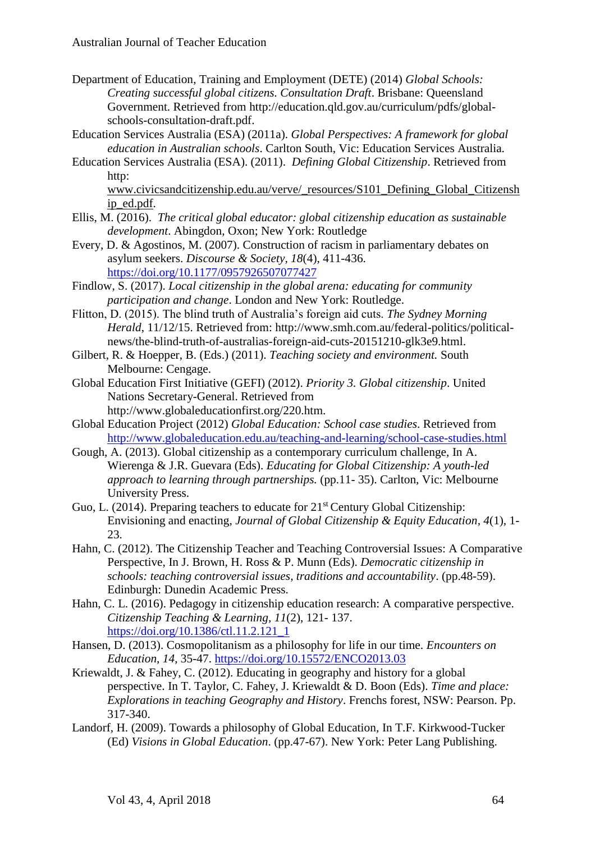- Department of Education, Training and Employment (DETE) (2014) *Global Schools: Creating successful global citizens. Consultation Draft*. Brisbane: Queensland Government. Retrieved from http://education.qld.gov.au/curriculum/pdfs/globalschools-consultation-draft.pdf.
- Education Services Australia (ESA) (2011a). *Global Perspectives: A framework for global education in Australian schools*. Carlton South, Vic: Education Services Australia.
- Education Services Australia (ESA). (2011). *Defining Global Citizenship*. Retrieved from http:

[www.civicsandcitizenship.edu.au/verve/\\_resources/S101\\_Defining\\_Global\\_Citizensh](http://www.civicsandcitizenship.edu.au/verve/_resources/S101_Defining_Global_Citizenship_ed.pdf) [ip\\_ed.pdf.](http://www.civicsandcitizenship.edu.au/verve/_resources/S101_Defining_Global_Citizenship_ed.pdf)

- Ellis, M. (2016). *The critical global educator: global citizenship education as sustainable development*. Abingdon, Oxon; New York: Routledge
- Every, D. & Agostinos, M. (2007). Construction of racism in parliamentary debates on asylum seekers. *Discourse & Society, 18*(4), 411-436. <https://doi.org/10.1177/0957926507077427>
- Findlow, S. (2017). *Local citizenship in the global arena: educating for community participation and change*. London and New York: Routledge.
- Flitton, D. (2015). The blind truth of Australia's foreign aid cuts. *The Sydney Morning Herald*, 11/12/15. Retrieved from: http://www.smh.com.au/federal-politics/politicalnews/the-blind-truth-of-australias-foreign-aid-cuts-20151210-glk3e9.html.
- Gilbert, R. & Hoepper, B. (Eds.) (2011). *Teaching society and environment.* South Melbourne: Cengage.
- Global Education First Initiative (GEFI) (2012). *Priority 3. Global citizenship*. United Nations Secretary-General. Retrieved from http://www.globaleducationfirst.org/220.htm.
- Global Education Project (2012) *Global Education: School case studies*. Retrieved from <http://www.globaleducation.edu.au/teaching-and-learning/school-case-studies.html>
- Gough, A. (2013). Global citizenship as a contemporary curriculum challenge, In A. Wierenga & J.R. Guevara (Eds). *Educating for Global Citizenship: A youth-led approach to learning through partnerships.* (pp.11- 35). Carlton, Vic: Melbourne University Press.
- Guo, L. (2014). Preparing teachers to educate for  $21<sup>st</sup>$  Century Global Citizenship: Envisioning and enacting, *Journal of Global Citizenship & Equity Education*, *4*(1), 1- 23.
- Hahn, C. (2012). The Citizenship Teacher and Teaching Controversial Issues: A Comparative Perspective, In J. Brown, H. Ross & P. Munn (Eds). *Democratic citizenship in schools: teaching controversial issues, traditions and accountability*. (pp.48-59). Edinburgh: Dunedin Academic Press.
- Hahn, C. L. (2016). Pedagogy in citizenship education research: A comparative perspective. *Citizenship Teaching & Learning, 11*(2), 121- 137. [https://doi.org/10.1386/ctl.11.2.121\\_1](https://doi.org/10.1386/ctl.11.2.121_1)
- Hansen, D. (2013). Cosmopolitanism as a philosophy for life in our time. *Encounters on Education, 14*, 35-47.<https://doi.org/10.15572/ENCO2013.03>
- Kriewaldt, J. & Fahey, C. (2012). Educating in geography and history for a global perspective. In T. Taylor, C. Fahey, J. Kriewaldt & D. Boon (Eds). *Time and place: Explorations in teaching Geography and History*. Frenchs forest, NSW: Pearson. Pp. 317-340.
- Landorf, H. (2009). Towards a philosophy of Global Education, In T.F. Kirkwood-Tucker (Ed) *Visions in Global Education*. (pp.47-67). New York: Peter Lang Publishing.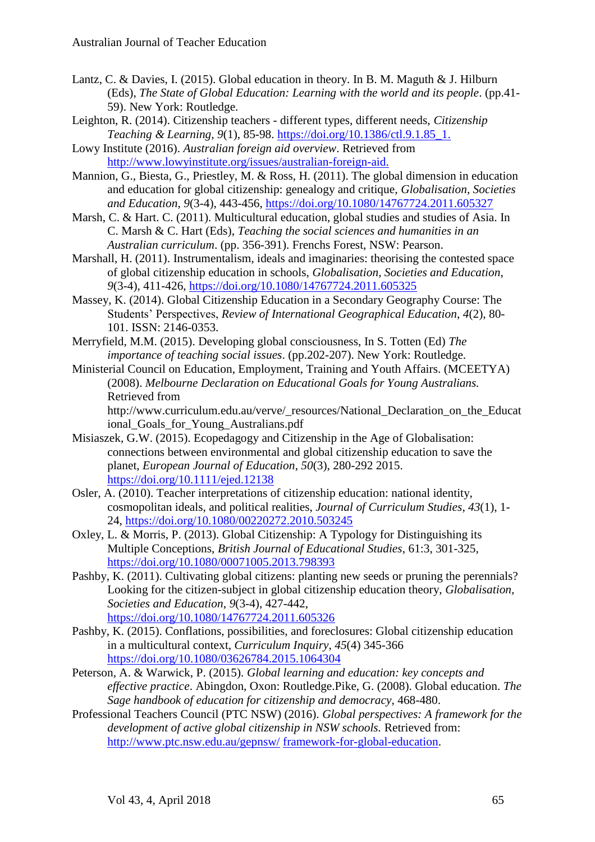- Lantz, C. & Davies, I. (2015). Global education in theory. In B. M. Maguth & J. Hilburn (Eds), *The State of Global Education: Learning with the world and its people*. (pp.41- 59). New York: Routledge.
- Leighton, R. (2014). Citizenship teachers different types, different needs, *Citizenship Teaching & Learning, 9*(1), 85-98. [https://doi.org/10.1386/ctl.9.1.85\\_1.](https://doi.org/10.1386/ctl.9.1.85_1)
- Lowy Institute (2016). *Australian foreign aid overview*. Retrieved from [http://www.lowyinstitute.org/issues/australian-foreign-aid.](http://www.lowyinstitute.org/issues/australian-foreign-aid)
- Mannion, G., Biesta, G., Priestley, M. & Ross, H. (2011). The global dimension in education and education for global citizenship: genealogy and critique, *Globalisation, Societies and Education*, *9*(3-4), 443-456,<https://doi.org/10.1080/14767724.2011.605327>
- Marsh, C. & Hart. C. (2011). Multicultural education, global studies and studies of Asia. In C. Marsh & C. Hart (Eds), *Teaching the social sciences and humanities in an Australian curriculum*. (pp. 356-391). Frenchs Forest, NSW: Pearson.
- Marshall, H. (2011). Instrumentalism, ideals and imaginaries: theorising the contested space of global citizenship education in schools, *Globalisation, Societies and Education*, *9*(3-4), 411-426,<https://doi.org/10.1080/14767724.2011.605325>
- Massey, K. (2014). Global Citizenship Education in a Secondary Geography Course: The Students' Perspectives, *Review of International Geographical Education*, *4*(2), 80- 101. ISSN: 2146-0353.
- Merryfield, M.M. (2015). Developing global consciousness, In S. Totten (Ed) *The importance of teaching social issues*. (pp.202-207). New York: Routledge.
- Ministerial Council on Education, Employment, Training and Youth Affairs. (MCEETYA) (2008). *Melbourne Declaration on Educational Goals for Young Australians.* Retrieved from

http://www.curriculum.edu.au/verve/\_resources/National\_Declaration\_on\_the\_Educat ional\_Goals\_for\_Young\_Australians.pdf

- Misiaszek, G.W. (2015). Ecopedagogy and Citizenship in the Age of Globalisation: connections between environmental and global citizenship education to save the planet, *European Journal of Education*, *50*(3), 280-292 2015. <https://doi.org/10.1111/ejed.12138>
- Osler, A. (2010). Teacher interpretations of citizenship education: national identity, cosmopolitan ideals, and political realities, *Journal of Curriculum Studies*, *43*(1), 1- 24,<https://doi.org/10.1080/00220272.2010.503245>
- Oxley, L. & Morris, P. (2013). Global Citizenship: A Typology for Distinguishing its Multiple Conceptions, *British Journal of Educational Studies*, 61:3, 301-325, <https://doi.org/10.1080/00071005.2013.798393>
- Pashby, K. (2011). Cultivating global citizens: planting new seeds or pruning the perennials? Looking for the citizen-subject in global citizenship education theory, *Globalisation, Societies and Education*, *9*(3-4), 427-442, <https://doi.org/10.1080/14767724.2011.605326>
- Pashby, K. (2015). Conflations, possibilities, and foreclosures: Global citizenship education in a multicultural context, *Curriculum Inquiry*, *45*(4) 345-366 <https://doi.org/10.1080/03626784.2015.1064304>
- Peterson, A. & Warwick, P. (2015). *Global learning and education: key concepts and effective practice*. Abingdon, Oxon: Routledge.Pike, G. (2008). Global education. *The Sage handbook of education for citizenship and democracy*, 468-480.
- Professional Teachers Council (PTC NSW) (2016). *Global perspectives: A framework for the development of active global citizenship in NSW schools.* Retrieved from: [http://www.ptc.nsw.edu.au/gepnsw/](http://www.ptc.nsw.edu.au/gepnsw/gepnsw-home) framework-for-global-education.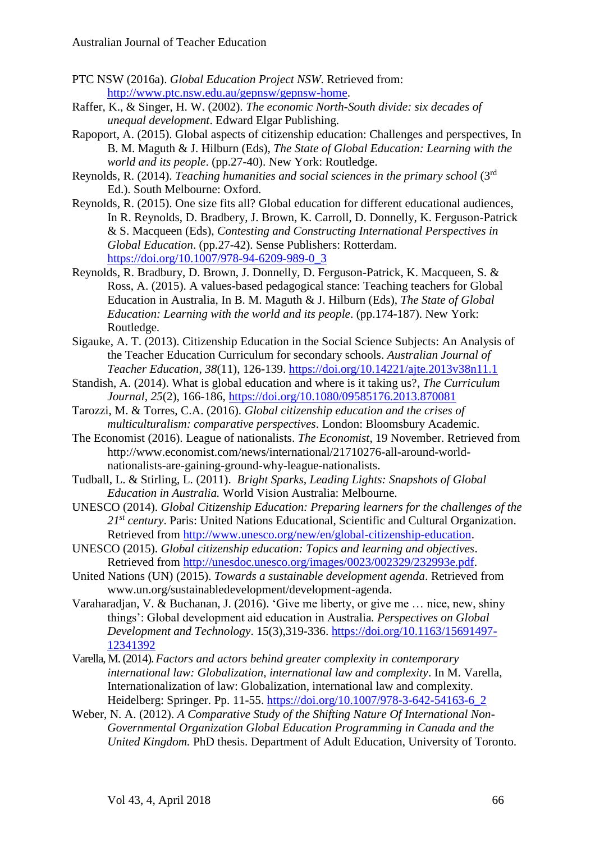- PTC NSW (2016a). *Global Education Project NSW*. Retrieved from: [http://www.ptc.nsw.edu.au/gepnsw/gepnsw-home.](http://www.ptc.nsw.edu.au/gepnsw/gepnsw-home)
- Raffer, K., & Singer, H. W. (2002). *The economic North-South divide: six decades of unequal development*. Edward Elgar Publishing.
- Rapoport, A. (2015). Global aspects of citizenship education: Challenges and perspectives, In B. M. Maguth & J. Hilburn (Eds), *The State of Global Education: Learning with the world and its people*. (pp.27-40). New York: Routledge.
- Reynolds, R. (2014). *Teaching humanities and social sciences in the primary school* (3rd Ed.). South Melbourne: Oxford.
- Reynolds, R. (2015). One size fits all? Global education for different educational audiences, In R. Reynolds, D. Bradbery, J. Brown, K. Carroll, D. Donnelly, K. Ferguson-Patrick & S. Macqueen (Eds), *Contesting and Constructing International Perspectives in Global Education*. (pp.27-42). Sense Publishers: Rotterdam. [https://doi.org/10.1007/978-94-6209-989-0\\_3](https://doi.org/10.1007/978-94-6209-989-0_3)
- Reynolds, R. Bradbury, D. Brown, J. Donnelly, D. Ferguson-Patrick, K. Macqueen, S. & Ross, A. (2015). A values-based pedagogical stance: Teaching teachers for Global Education in Australia, In B. M. Maguth & J. Hilburn (Eds), *The State of Global Education: Learning with the world and its people*. (pp.174-187). New York: Routledge.
- Sigauke, A. T. (2013). Citizenship Education in the Social Science Subjects: An Analysis of the Teacher Education Curriculum for secondary schools. *Australian Journal of Teacher Education*, *38*(11), 126-139.<https://doi.org/10.14221/ajte.2013v38n11.1>
- Standish, A. (2014). What is global education and where is it taking us?, *The Curriculum Journal, 25*(2), 166-186,<https://doi.org/10.1080/09585176.2013.870081>
- Tarozzi, M. & Torres, C.A. (2016). *Global citizenship education and the crises of multiculturalism: comparative perspectives*. London: Bloomsbury Academic.
- The Economist (2016). League of nationalists. *The Economist*, 19 November. Retrieved from http://www.economist.com/news/international/21710276-all-around-worldnationalists-are-gaining-ground-why-league-nationalists.
- Tudball, L. & Stirling, L. (2011). *Bright Sparks, Leading Lights: Snapshots of Global Education in Australia.* World Vision Australia: Melbourne.
- UNESCO (2014). *Global Citizenship Education: Preparing learners for the challenges of the 21st century*. Paris: United Nations Educational, Scientific and Cultural Organization. Retrieved from [http://www.unesco.org/new/en/global-citizenship-education.](http://www.unesco.org/new/en/global-citizenship-education)
- UNESCO (2015). *Global citizenship education: Topics and learning and objectives*. Retrieved from [http://unesdoc.unesco.org/images/0023/002329/232993e.pdf.](http://unesdoc.unesco.org/images/0023/002329/232993e.pdf)
- United Nations (UN) (2015). *Towards a sustainable development agenda*. Retrieved from www.un.org/sustainabledevelopment/development-agenda.
- Varaharadjan, V. & Buchanan, J. (2016). 'Give me liberty, or give me … nice, new, shiny things': Global development aid education in Australia*. Perspectives on Global Development and Technology*. 15(3),319-336. [https://doi.org/10.1163/15691497-](https://doi.org/10.1163/15691497-12341392) [12341392](https://doi.org/10.1163/15691497-12341392)
- Varella, M. (2014). *Factors and actors behind greater complexity in contemporary international law: Globalization, international law and complexity*. In M. Varella, Internationalization of law: Globalization, international law and complexity. Heidelberg: Springer. Pp. 11-55. [https://doi.org/10.1007/978-3-642-54163-6\\_2](https://doi.org/10.1007/978-3-642-54163-6_2)
- Weber, N. A. (2012). *A Comparative Study of the Shifting Nature Of International Non-Governmental Organization Global Education Programming in Canada and the United Kingdom.* PhD thesis. Department of Adult Education, University of Toronto.